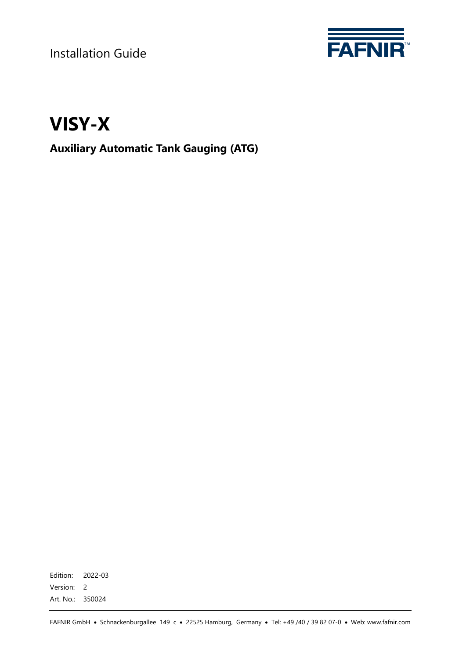Installation Guide



# **VISY-X**

# **Auxiliary Automatic Tank Gauging (ATG)**

Edition: 2022-03 Version: 2 Art. No.: 350024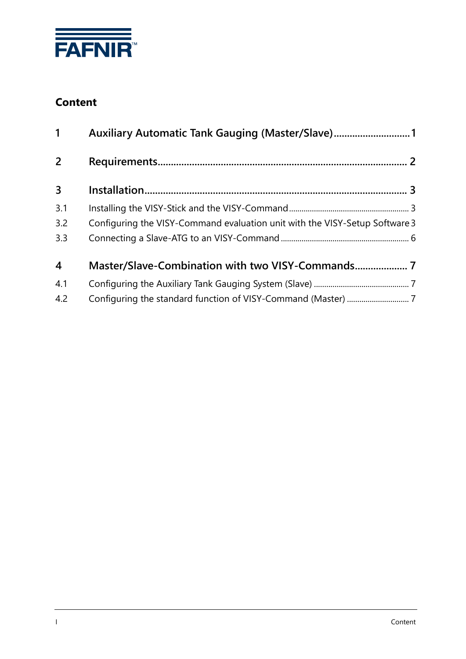

# **Content**

| $\mathbf{1}$            | Auxiliary Automatic Tank Gauging (Master/Slave)1                            |  |  |
|-------------------------|-----------------------------------------------------------------------------|--|--|
| 2                       |                                                                             |  |  |
| $\mathbf{3}$            |                                                                             |  |  |
| 3.1                     |                                                                             |  |  |
| 3.2                     | Configuring the VISY-Command evaluation unit with the VISY-Setup Software 3 |  |  |
| 3.3                     |                                                                             |  |  |
| $\overline{\mathbf{4}}$ | Master/Slave-Combination with two VISY-Commands                             |  |  |
| 4.1                     |                                                                             |  |  |
| 4.2                     |                                                                             |  |  |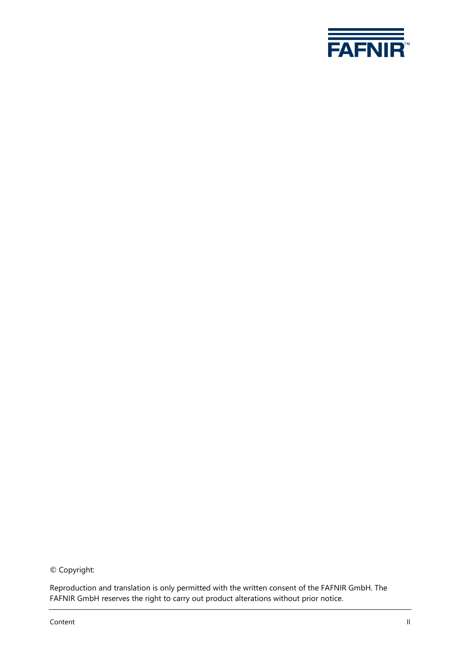

© Copyright:

Reproduction and translation is only permitted with the written consent of the FAFNIR GmbH. The FAFNIR GmbH reserves the right to carry out product alterations without prior notice.

Content II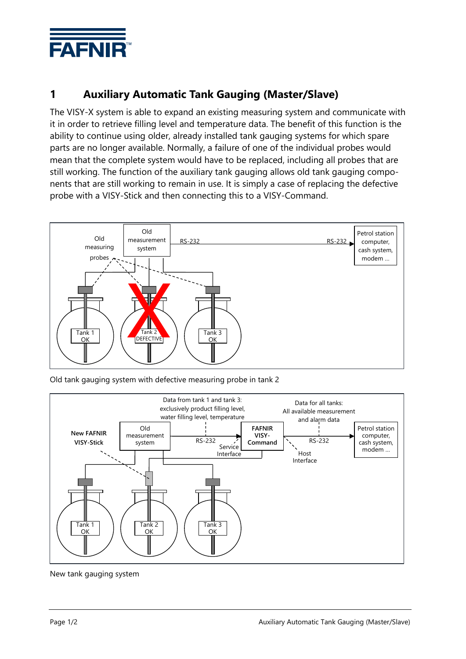

# <span id="page-3-0"></span>**1 Auxiliary Automatic Tank Gauging (Master/Slave)**

The VISY-X system is able to expand an existing measuring system and communicate with it in order to retrieve filling level and temperature data. The benefit of this function is the ability to continue using older, already installed tank gauging systems for which spare parts are no longer available. Normally, a failure of one of the individual probes would mean that the complete system would have to be replaced, including all probes that are still working. The function of the auxiliary tank gauging allows old tank gauging components that are still working to remain in use. It is simply a case of replacing the defective probe with a VISY-Stick and then connecting this to a VISY-Command.



Old tank gauging system with defective measuring probe in tank 2



New tank gauging system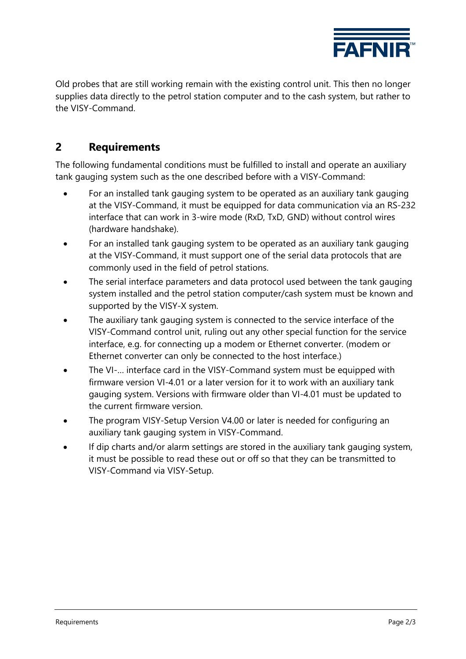

Old probes that are still working remain with the existing control unit. This then no longer supplies data directly to the petrol station computer and to the cash system, but rather to the VISY-Command.

#### <span id="page-4-0"></span>**2 Requirements**

The following fundamental conditions must be fulfilled to install and operate an auxiliary tank gauging system such as the one described before with a VISY-Command:

- For an installed tank gauging system to be operated as an auxiliary tank gauging at the VISY-Command, it must be equipped for data communication via an RS-232 interface that can work in 3-wire mode (RxD, TxD, GND) without control wires (hardware handshake).
- For an installed tank gauging system to be operated as an auxiliary tank gauging at the VISY-Command, it must support one of the serial data protocols that are commonly used in the field of petrol stations.
- The serial interface parameters and data protocol used between the tank gauging system installed and the petrol station computer/cash system must be known and supported by the VISY-X system.
- The auxiliary tank gauging system is connected to the service interface of the VISY-Command control unit, ruling out any other special function for the service interface, e.g. for connecting up a modem or Ethernet converter. (modem or Ethernet converter can only be connected to the host interface.)
- The VI-... interface card in the VISY-Command system must be equipped with firmware version VI-4.01 or a later version for it to work with an auxiliary tank gauging system. Versions with firmware older than VI-4.01 must be updated to the current firmware version.
- The program VISY-Setup Version V4.00 or later is needed for configuring an auxiliary tank gauging system in VISY-Command.
- If dip charts and/or alarm settings are stored in the auxiliary tank gauging system, it must be possible to read these out or off so that they can be transmitted to VISY-Command via VISY-Setup.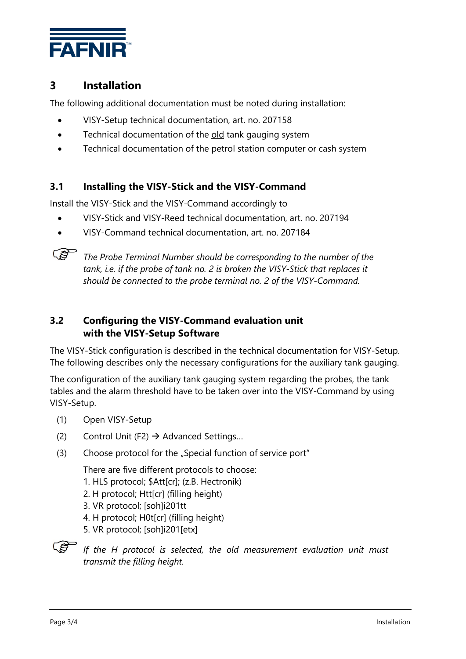

## <span id="page-5-0"></span>**3 Installation**

The following additional documentation must be noted during installation:

- VISY-Setup technical documentation, art. no. 207158
- Technical documentation of the old tank gauging system
- Technical documentation of the petrol station computer or cash system

#### <span id="page-5-1"></span>**3.1 Installing the VISY-Stick and the VISY-Command**

Install the VISY-Stick and the VISY-Command accordingly to

- VISY-Stick and VISY-Reed technical documentation, art. no. 207194
- VISY-Command technical documentation, art. no. 207184



*The Probe Terminal Number should be corresponding to the number of the tank, i.e. if the probe of tank no. 2 is broken the VISY-Stick that replaces it should be connected to the probe terminal no. 2 of the VISY-Command.*

#### <span id="page-5-2"></span>**3.2 Configuring the VISY-Command evaluation unit with the VISY-Setup Software**

The VISY-Stick configuration is described in the technical documentation for VISY-Setup. The following describes only the necessary configurations for the auxiliary tank gauging.

The configuration of the auxiliary tank gauging system regarding the probes, the tank tables and the alarm threshold have to be taken over into the VISY-Command by using VISY-Setup.

- (1) Open VISY-Setup
- (2) Control Unit (F2)  $\rightarrow$  Advanced Settings...
- (3) Choose protocol for the "Special function of service port"

There are five different protocols to choose:

- 1. HLS protocol; \$Att[cr]; (z.B. Hectronik)
- 2. H protocol; Htt[cr] (filling height)
- 3. VR protocol; [soh]i201tt
- 4. H protocol; H0t[cr] (filling height)
- 5. VR protocol; [soh]i201[etx]
- ເສ *If the H protocol is selected, the old measurement evaluation unit must transmit the filling height.*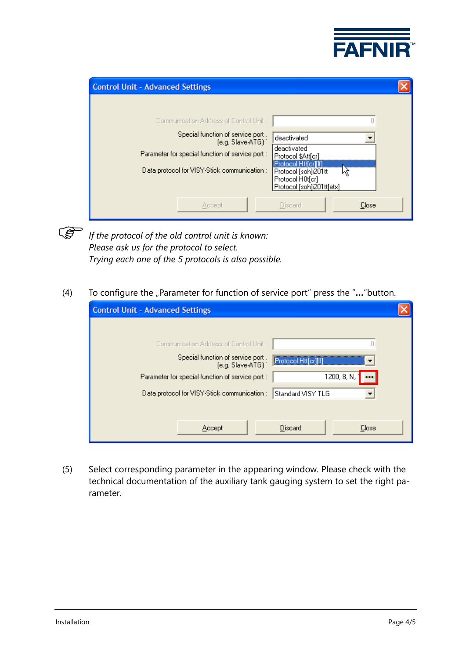

| <b>Control Unit - Advanced Settings</b>                                                                                                                                                               |                                                                                                                                                   |
|-------------------------------------------------------------------------------------------------------------------------------------------------------------------------------------------------------|---------------------------------------------------------------------------------------------------------------------------------------------------|
| Communication Address of Control Unit:<br>Special function of service port.<br>$[e.g. Slave-ATG]$<br>Parameter for special function of service port :<br>Data protocol for VISY-Stick communication : | deactivated<br>deactivated<br>Protocol \$Att[cr]<br>Protocol Htt[cr][lf]<br>Protocol [soh]i201tt<br>Protocol H0t[cr]<br>Protocol [soh]i201tt[etx] |
| Accept                                                                                                                                                                                                | Discard<br>Close                                                                                                                                  |

 $\mathbb{Q}$ 

*If the protocol of the old control unit is known: Please ask us for the protocol to select. Trying each one of the 5 protocols is also possible.* 

#### (4) To configure the "Parameter for function of service port" press the "..."button.

| <b>Control Unit - Advanced Settings</b>                |                      |
|--------------------------------------------------------|----------------------|
|                                                        |                      |
| Communication Address of Control Unit:                 |                      |
| Special function of service port .<br>(e.g. Slave-ATG) | Protocol Htt[cr][lf] |
| Parameter for special function of service port :       | 1200, 8, N,          |
| Data protocol for VISY-Stick communication :           | Standard VISY TLG    |
|                                                        |                      |
| Accept                                                 | Discard<br>Close     |

(5) Select corresponding parameter in the appearing window. Please check with the technical documentation of the auxiliary tank gauging system to set the right parameter.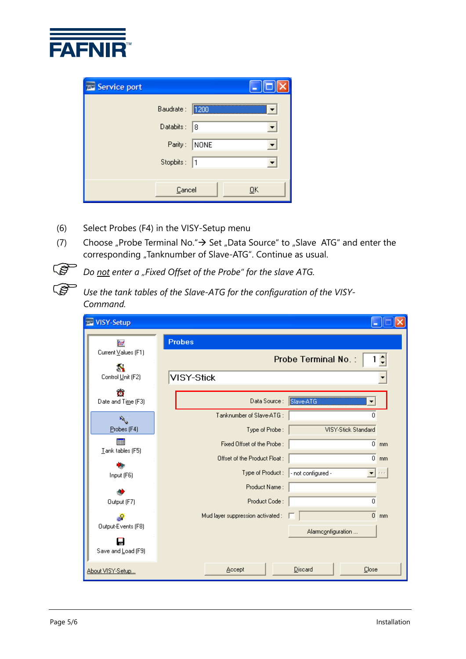

| <b>Exc</b> Service port |                |           |                           |
|-------------------------|----------------|-----------|---------------------------|
|                         | Baudrate: 1200 |           |                           |
|                         | Databits:      | $\vert$ 8 |                           |
|                         | Parity:        | NONE      |                           |
|                         | Stopbits:  1   |           |                           |
|                         |                |           |                           |
|                         | Cancel         |           | $\overline{\mathsf{g}}$ K |

- (6) Select Probes (F4) in the VISY-Setup menu
- (7) Choose "Probe Terminal No."  $\rightarrow$  Set "Data Source" to "Slave ATG" and enter the corresponding "Tanknumber of Slave-ATG". Continue as usual.



*Do not enter a "Fixed Offset of the Probe" for the slave ATG.*

*Use the tank tables of the Slave-ATG for the configuration of the VISY-Command.*

| VISY-Setup<br>巫                                              |                                                                                                                   |
|--------------------------------------------------------------|-------------------------------------------------------------------------------------------------------------------|
| <b>bot</b><br>Current Values (F1)<br>å.<br>Control Unit (F2) | <b>Probes</b><br>Probe Terminal No.:<br>1 회<br>VISY-Stick                                                         |
| $\bullet$<br>Date and Time (F3)                              | Slave-ATG<br>Data Source:<br>▼                                                                                    |
| $\mathcal{R}_{\mathcal{A}}$<br>Probes (F4)                   | Tanknumber of Slave-ATG:<br>n<br>VISY-Stick Standard<br>Type of Probe:                                            |
| Tank tables (F5)                                             | Fixed Offset of the Probe :<br>$0 \text{ mm}$<br>Offset of the Product Float:<br>$\overline{0}$<br>m <sub>m</sub> |
| Input (F6)                                                   | Type of Product:<br>- not configured -<br>$\mathbf{r}$ r $\mathbf{r}$                                             |
| Output (F7)                                                  | Product Name:<br>Product Code:<br>$\Omega$                                                                        |
| Output-Events (F8)                                           | Mud layer suppression activated :<br>$0 \text{ mm}$<br>Alarmconfiguration                                         |
| Save and Load (F9)<br>About VISY-Setup                       | Discard<br>Close<br>Accept                                                                                        |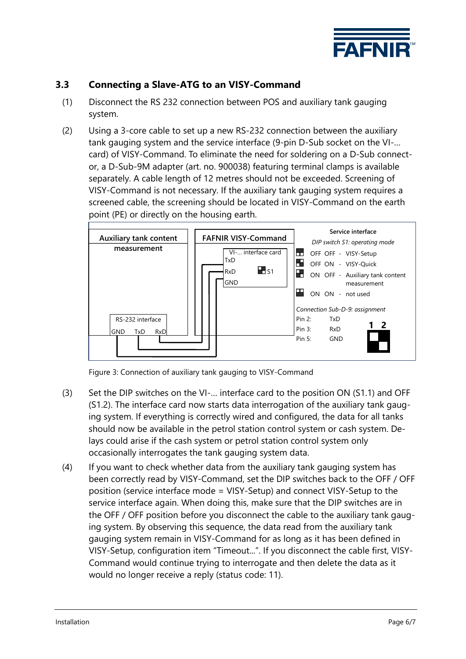

#### <span id="page-8-0"></span>**3.3 Connecting a Slave-ATG to an VISY-Command**

- (1) Disconnect the RS 232 connection between POS and auxiliary tank gauging system.
- (2) Using a 3-core cable to set up a new RS-232 connection between the auxiliary tank gauging system and the service interface (9-pin D-Sub socket on the VI-… card) of VISY-Command. To eliminate the need for soldering on a D-Sub connector, a D-Sub-9M adapter (art. no. 900038) featuring terminal clamps is available separately. A cable length of 12 metres should not be exceeded. Screening of VISY-Command is not necessary. If the auxiliary tank gauging system requires a screened cable, the screening should be located in VISY-Command on the earth point (PE) or directly on the housing earth.



Figure 3: Connection of auxiliary tank gauging to VISY-Command

- (3) Set the DIP switches on the VI-… interface card to the position ON (S1.1) and OFF (S1.2). The interface card now starts data interrogation of the auxiliary tank gauging system. If everything is correctly wired and configured, the data for all tanks should now be available in the petrol station control system or cash system. Delays could arise if the cash system or petrol station control system only occasionally interrogates the tank gauging system data.
- (4) If you want to check whether data from the auxiliary tank gauging system has been correctly read by VISY-Command, set the DIP switches back to the OFF / OFF position (service interface mode = VISY-Setup) and connect VISY-Setup to the service interface again. When doing this, make sure that the DIP switches are in the OFF / OFF position before you disconnect the cable to the auxiliary tank gauging system. By observing this sequence, the data read from the auxiliary tank gauging system remain in VISY-Command for as long as it has been defined in VISY-Setup, configuration item "Timeout...". If you disconnect the cable first, VISY-Command would continue trying to interrogate and then delete the data as it would no longer receive a reply (status code: 11).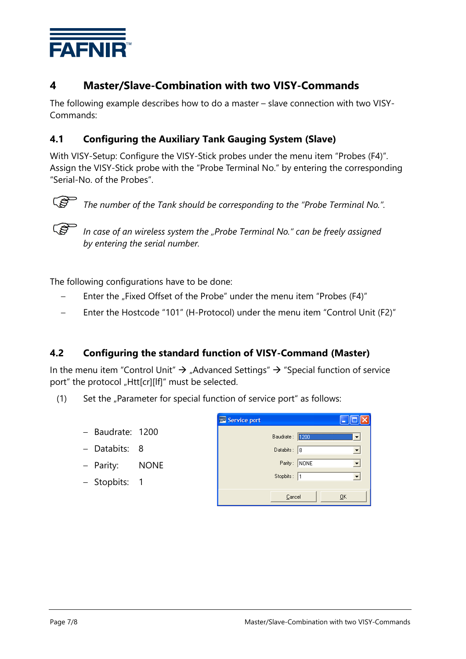

### <span id="page-9-0"></span>**4 Master/Slave-Combination with two VISY-Commands**

The following example describes how to do a master – slave connection with two VISY-Commands:

#### <span id="page-9-1"></span>**4.1 Configuring the Auxiliary Tank Gauging System (Slave)**

With VISY-Setup: Configure the VISY-Stick probes under the menu item "Probes (F4)". Assign the VISY-Stick probe with the "Probe Terminal No." by entering the corresponding "Serial-No. of the Probes".



*The number of the Tank should be corresponding to the "Probe Terminal No.".*



*In case of an wireless system the "Probe Terminal No." can be freely assigned by entering the serial number.*

The following configurations have to be done:

- Enter the "Fixed Offset of the Probe" under the menu item "Probes (F4)"
- Enter the Hostcode "101" (H-Protocol) under the menu item "Control Unit (F2)"

#### <span id="page-9-2"></span>**4.2 Configuring the standard function of VISY-Command (Master)**

In the menu item "Control Unit"  $\rightarrow$  "Advanced Settings"  $\rightarrow$  "Special function of service port" the protocol "Htt[cr][lf]" must be selected.

- (1) Set the  $\mu$ Parameter for special function of service port" as follows:
	- Baudrate: 1200
	- Databits: 8
	- Parity: NONE
	- Stopbits: 1

| Service port |             |              |    |
|--------------|-------------|--------------|----|
|              | Baudrate:   | 1200         |    |
|              | Databits:   | 8            |    |
|              |             | Parity: NONE |    |
|              | Stopbits: 1 |              |    |
|              |             |              |    |
|              | Cancel      |              | ŪΚ |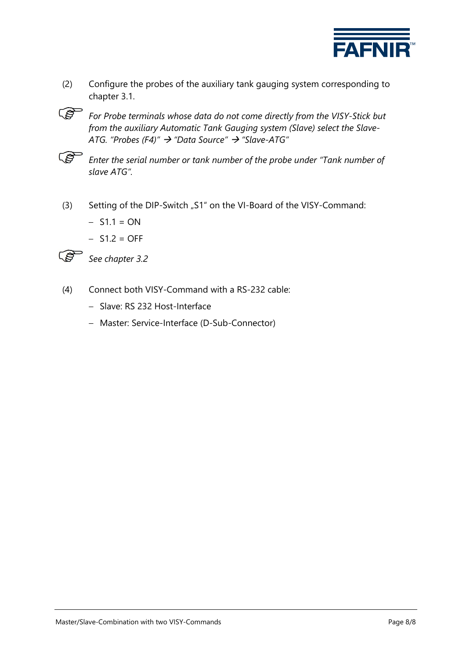

- (2) Configure the probes of the auxiliary tank gauging system corresponding to chapter 3.1.
- *For Probe terminals whose data do not come directly from the VISY-Stick but from the auxiliary Automatic Tank Gauging system (Slave) select the Slave-ATG. "Probes (F4)" "Data Source" "Slave-ATG"*
- **CAP** *Enter the serial number or tank number of the probe under "Tank number of slave ATG".*
- (3) Setting of the DIP-Switch "S1" on the VI-Board of the VISY-Command:
	- $-$  S1.1 = ON
	- $-$  S1.2 = OFF



*See chapter 3.2*

- (4) Connect both VISY-Command with a RS-232 cable:
	- Slave: RS 232 Host-Interface
	- Master: Service-Interface (D-Sub-Connector)